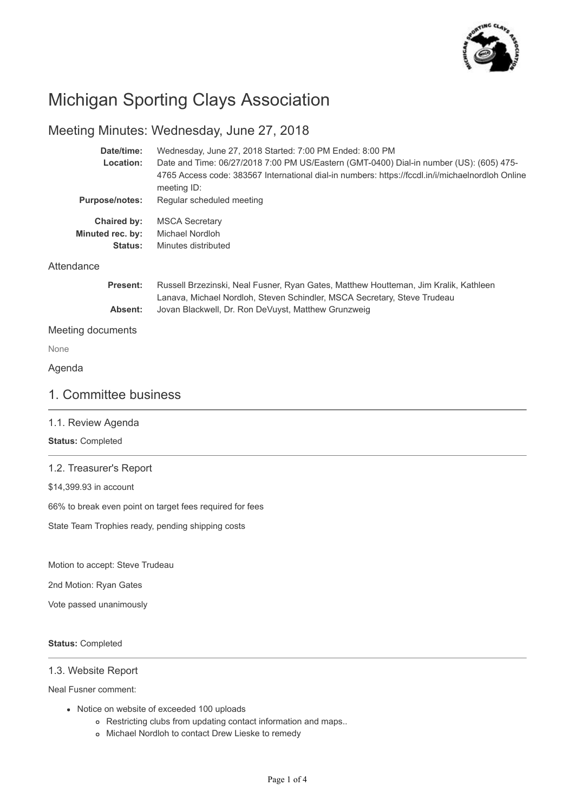

# Michigan Sporting Clays Association

# Meeting Minutes: Wednesday, June 27, 2018

| Date/time:            | Wednesday, June 27, 2018 Started: 7:00 PM Ended: 8:00 PM                                                                                                         |
|-----------------------|------------------------------------------------------------------------------------------------------------------------------------------------------------------|
| Location:             | Date and Time: 06/27/2018 7:00 PM US/Eastern (GMT-0400) Dial-in number (US): (605) 475-                                                                          |
|                       | 4765 Access code: 383567 International dial-in numbers: https://fccdl.in/i/michaelnordloh Online<br>meeting ID:                                                  |
| <b>Purpose/notes:</b> | Regular scheduled meeting                                                                                                                                        |
| <b>Chaired by:</b>    | <b>MSCA Secretary</b>                                                                                                                                            |
| Minuted rec. by:      | Michael Nordloh                                                                                                                                                  |
| <b>Status:</b>        | Minutes distributed                                                                                                                                              |
| Attendance            |                                                                                                                                                                  |
| <b>Present:</b>       | Russell Brzezinski, Neal Fusner, Ryan Gates, Matthew Houtteman, Jim Kralik, Kathleen<br>Lanava, Michael Nordloh, Steven Schindler, MSCA Secretary, Steve Trudeau |
| Absent:               | Jovan Blackwell, Dr. Ron DeVuyst, Matthew Grunzweig                                                                                                              |
| Meeting documents     |                                                                                                                                                                  |
| <b>None</b>           |                                                                                                                                                                  |

Agenda

None

### 1. Committee business

#### 1.1. Review Agenda

#### **Status:** Completed

### 1.2. Treasurer's Report

\$14,399.93 in account

66% to break even point on target fees required for fees

State Team Trophies ready, pending shipping costs

Motion to accept: Steve Trudeau

2nd Motion: Ryan Gates

Vote passed unanimously

#### **Status:** Completed

### 1.3. Website Report

Neal Fusner comment:

- Notice on website of exceeded 100 uploads
	- Restricting clubs from updating contact information and maps..
	- Michael Nordloh to contact Drew Lieske to remedy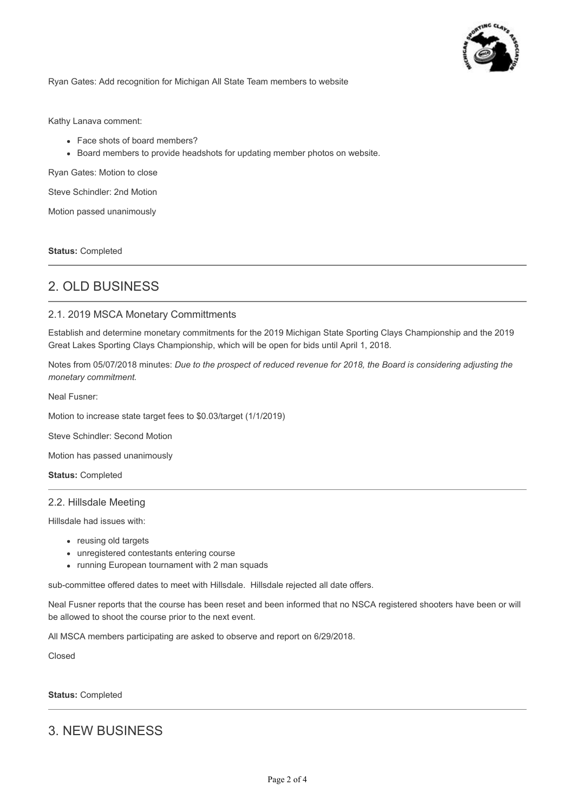

Ryan Gates: Add recognition for Michigan All State Team members to website

Kathy Lanava comment:

- Face shots of board members?
- Board members to provide headshots for updating member photos on website.

Ryan Gates: Motion to close

Steve Schindler: 2nd Motion

Motion passed unanimously

**Status:** Completed

# 2. OLD BUSINESS

#### 2.1. 2019 MSCA Monetary Committments

Establish and determine monetary commitments for the 2019 Michigan State Sporting Clays Championship and the 2019 Great Lakes Sporting Clays Championship, which will be open for bids until April 1, 2018.

Notes from 05/07/2018 minutes: *Due to the prospect of reduced revenue for 2018, the Board is considering adjusting the monetary commitment.* 

Neal Fusner:

Motion to increase state target fees to \$0.03/target (1/1/2019)

Steve Schindler: Second Motion

Motion has passed unanimously

**Status:** Completed

#### 2.2. Hillsdale Meeting

Hillsdale had issues with:

- reusing old targets
- unregistered contestants entering course
- running European tournament with 2 man squads

sub-committee offered dates to meet with Hillsdale. Hillsdale rejected all date offers.

Neal Fusner reports that the course has been reset and been informed that no NSCA registered shooters have been or will be allowed to shoot the course prior to the next event.

All MSCA members participating are asked to observe and report on 6/29/2018.

Closed

**Status:** Completed

## 3. NEW BUSINESS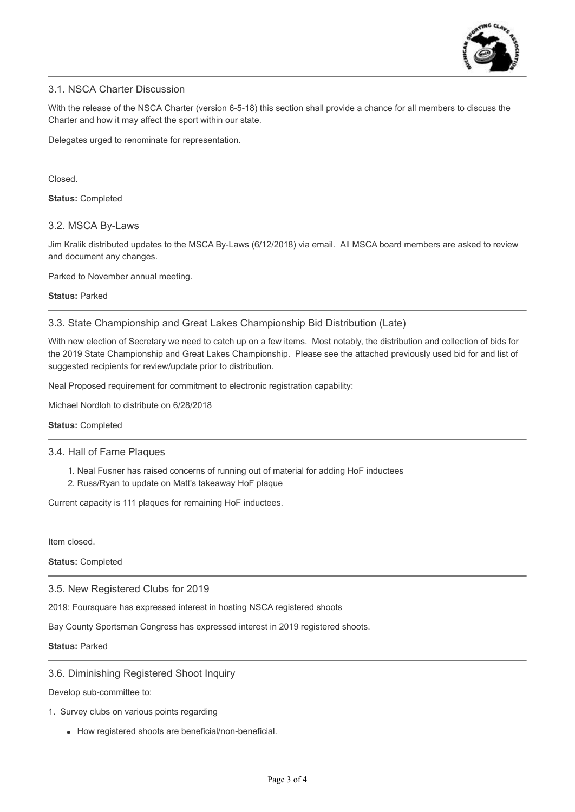

### 3.1. NSCA Charter Discussion

With the release of the NSCA Charter (version 6-5-18) this section shall provide a chance for all members to discuss the Charter and how it may affect the sport within our state.

Delegates urged to renominate for representation.

Closed.

**Status:** Completed

#### 3.2. MSCA By-Laws

Jim Kralik distributed updates to the MSCA By-Laws (6/12/2018) via email. All MSCA board members are asked to review and document any changes.

Parked to November annual meeting.

**Status:** Parked

3.3. State Championship and Great Lakes Championship Bid Distribution (Late)

With new election of Secretary we need to catch up on a few items. Most notably, the distribution and collection of bids for the 2019 State Championship and Great Lakes Championship. Please see the attached previously used bid for and list of suggested recipients for review/update prior to distribution.

Neal Proposed requirement for commitment to electronic registration capability:

Michael Nordloh to distribute on 6/28/2018

#### **Status:** Completed

#### 3.4. Hall of Fame Plaques

- 1. Neal Fusner has raised concerns of running out of material for adding HoF inductees
- 2. Russ/Ryan to update on Matt's takeaway HoF plaque

Current capacity is 111 plaques for remaining HoF inductees.

Item closed.

**Status:** Completed

3.5. New Registered Clubs for 2019

2019: Foursquare has expressed interest in hosting NSCA registered shoots

Bay County Sportsman Congress has expressed interest in 2019 registered shoots.

#### **Status:** Parked

#### 3.6. Diminishing Registered Shoot Inquiry

Develop sub-committee to:

- 1. Survey clubs on various points regarding
	- How registered shoots are beneficial/non-beneficial.